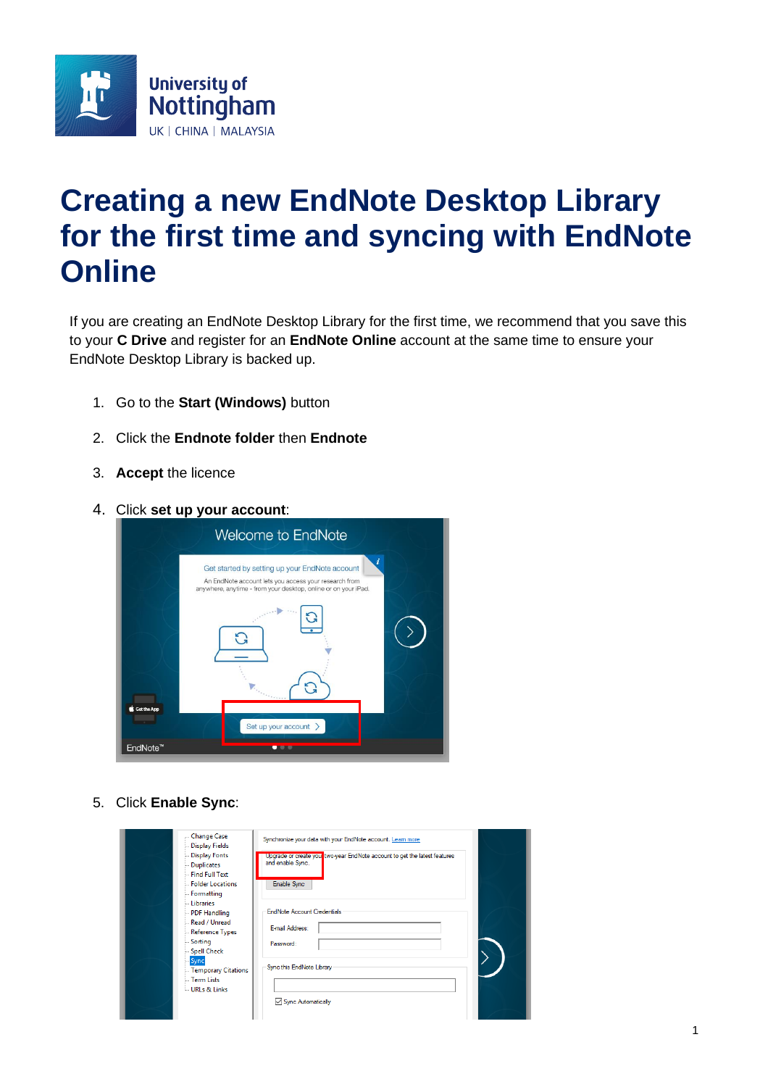

## **Creating a new EndNote Desktop Library for the first time and syncing with EndNote Online**

If you are creating an EndNote Desktop Library for the first time, we recommend that you save this to your **C Drive** and register for an **EndNote Online** account at the same time to ensure your EndNote Desktop Library is backed up.

- 1. Go to the **Start (Windows)** button
- 2. Click the **Endnote folder** then **Endnote**
- 3. **Accept** the licence
- 4. Click **set up your account**:



5. Click **Enable Sync**:

| - Change Case<br>Display Fields<br>Display Fonts<br>- Duplicates<br>Find Full Text<br>Folder Locations<br>- Formatting | Synchronize your data with your EndNote account. Learn more<br>Upgrade or create your two-year EndNote account to get the latest features<br>and enable Sync.<br>Enable Sync |
|------------------------------------------------------------------------------------------------------------------------|------------------------------------------------------------------------------------------------------------------------------------------------------------------------------|
| Libraries<br>- PDF Handling<br>Read / Unread<br>- Reference Types<br><b>Sorting</b><br>Spell Check                     | <b>EndNote Account Credentials</b><br>E-mail Address:<br>Password:                                                                                                           |
| <b>Sync</b><br>- Temporary Citations<br>Term Lists<br>URLs & Links                                                     | Sync this EndNote Library<br>Sync Automatically                                                                                                                              |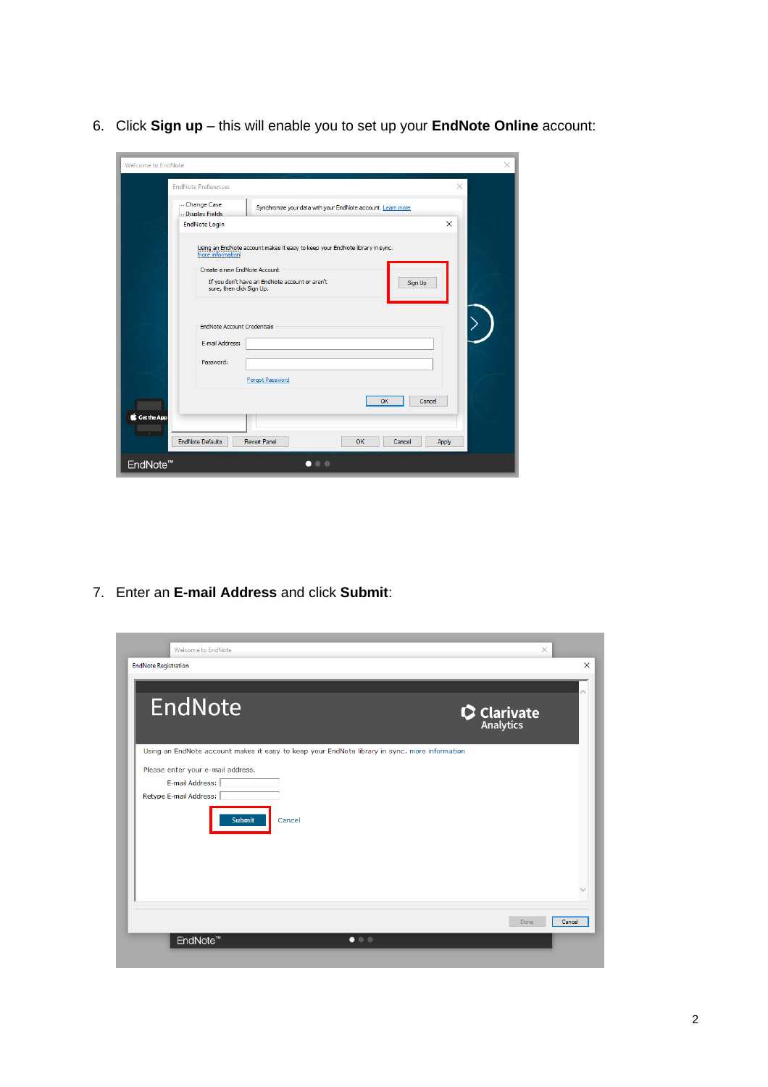6. Click **Sign up** – this will enable you to set up your **EndNote Online** account:

| Welcome to EndNote<br>×                                                                                                                                                                                                    |
|----------------------------------------------------------------------------------------------------------------------------------------------------------------------------------------------------------------------------|
| <b>EndNote Preferences</b><br>$\times$                                                                                                                                                                                     |
| -Change Case<br>Synchronize your data with your EndNote account. Learn more<br>- Display Fields<br>$\times$<br><b>EndNote Login</b>                                                                                        |
| Using an EndNote account makes it easy to keep your EndNote library in sync.<br>more information<br>Create a new EndNote Account<br>If you don't have an EndNote account or aren't<br>Sign Up<br>sure, then click Sign Up. |
| ≻े<br><b>EndNote Account Credentials</b><br>E-mail Address:<br>Password:<br><b>Forgot Password</b>                                                                                                                         |
| Cancel<br>OK<br>Get the App<br><b>STATISTICS</b><br><b>EndNote Defaults</b><br><b>Revert Panel</b><br>OK<br>Cancel<br>Apply                                                                                                |
| EndNote <sup>™</sup><br>$\bullet\bullet\bullet$                                                                                                                                                                            |

7. Enter an **E-mail Address** and click **Submit**:

| EndNote                                                                                       | $\bullet$ Clarivate |
|-----------------------------------------------------------------------------------------------|---------------------|
| Using an EndNote account makes it easy to keep your EndNote library in sync. more information |                     |
| Please enter your e-mail address.                                                             |                     |
| E-mail Address:                                                                               |                     |
| Retype E-mail Address:                                                                        |                     |
| <b>Submit</b><br>Cancel                                                                       |                     |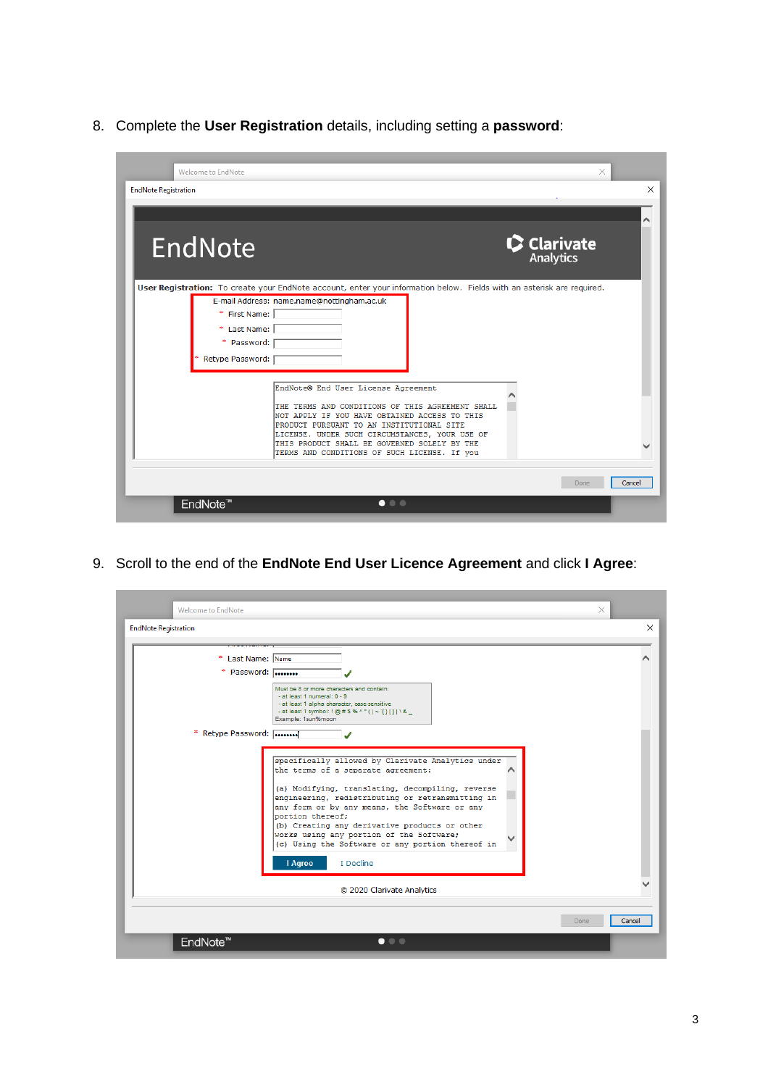8. Complete the **User Registration** details, including setting a **password**:

| <b>Welcome to EndNote</b>   |                                                                                                                        | ×           |        |
|-----------------------------|------------------------------------------------------------------------------------------------------------------------|-------------|--------|
| <b>EndNote Registration</b> |                                                                                                                        |             | ×      |
|                             |                                                                                                                        |             |        |
| EndNote                     |                                                                                                                        | C Clarivate |        |
|                             | User Registration: To create your EndNote account, enter your information below. Fields with an asterisk are required. |             |        |
|                             | E-mail Address: name.name@nottingham.ac.uk                                                                             |             |        |
| * First Name:               |                                                                                                                        |             |        |
| * Last Name:                |                                                                                                                        |             |        |
| * Password:                 |                                                                                                                        |             |        |
| Retype Password:            |                                                                                                                        |             |        |
|                             | EndNote® End User License Agreement                                                                                    |             |        |
|                             |                                                                                                                        |             |        |
|                             | THE TERMS AND CONDITIONS OF THIS AGREEMENT SHALL<br>NOT APPLY IF YOU HAVE OBTAINED ACCESS TO THIS                      |             |        |
|                             | PRODUCT PURSUANT TO AN INSTITUTIONAL SITE<br>LICENSE. UNDER SUCH CIRCUMSTANCES, YOUR USE OF                            |             |        |
|                             | THIS PRODUCT SHALL BE GOVERNED SOLELY BY THE                                                                           |             |        |
|                             | TERMS AND CONDITIONS OF SUCH LICENSE. If you                                                                           |             |        |
|                             |                                                                                                                        | Done        | Cancel |
|                             |                                                                                                                        |             |        |
| EndNote <sup>™</sup>        | $\bullet$ $\bullet$ $\bullet$                                                                                          |             |        |

9. Scroll to the end of the **EndNote End User Licence Agreement** and click **I Agree**:

| * Last Name: Name  |                                                                                                                                                                                                                                                                                                                                                                                                 |  |
|--------------------|-------------------------------------------------------------------------------------------------------------------------------------------------------------------------------------------------------------------------------------------------------------------------------------------------------------------------------------------------------------------------------------------------|--|
| * Password:        |                                                                                                                                                                                                                                                                                                                                                                                                 |  |
|                    | Must be 8 or more characters and contain:<br>- at least 1 numeral: 0 - 9                                                                                                                                                                                                                                                                                                                        |  |
|                    | - at least 1 alpha character, case-sensitive<br>- at least 1 symbol: ! @ # \$ % ^ * ( ) ~ '{} [ ]   \ & _                                                                                                                                                                                                                                                                                       |  |
|                    | Example: 1sun%moon                                                                                                                                                                                                                                                                                                                                                                              |  |
| * Retype Password: |                                                                                                                                                                                                                                                                                                                                                                                                 |  |
|                    | the terms of a separate agreement:<br>(a) Modifying, translating, decompiling, reverse<br>engineering, redistributing or retransmitting in<br>any form or by any means, the Software or any<br>portion thereof:<br>(b) Creating any derivative products or other<br>works using any portion of the Software;<br>(c) Using the Software or any portion thereof in<br>I Agree<br><b>T</b> Decline |  |
|                    | C 2020 Clarivate Analytics                                                                                                                                                                                                                                                                                                                                                                      |  |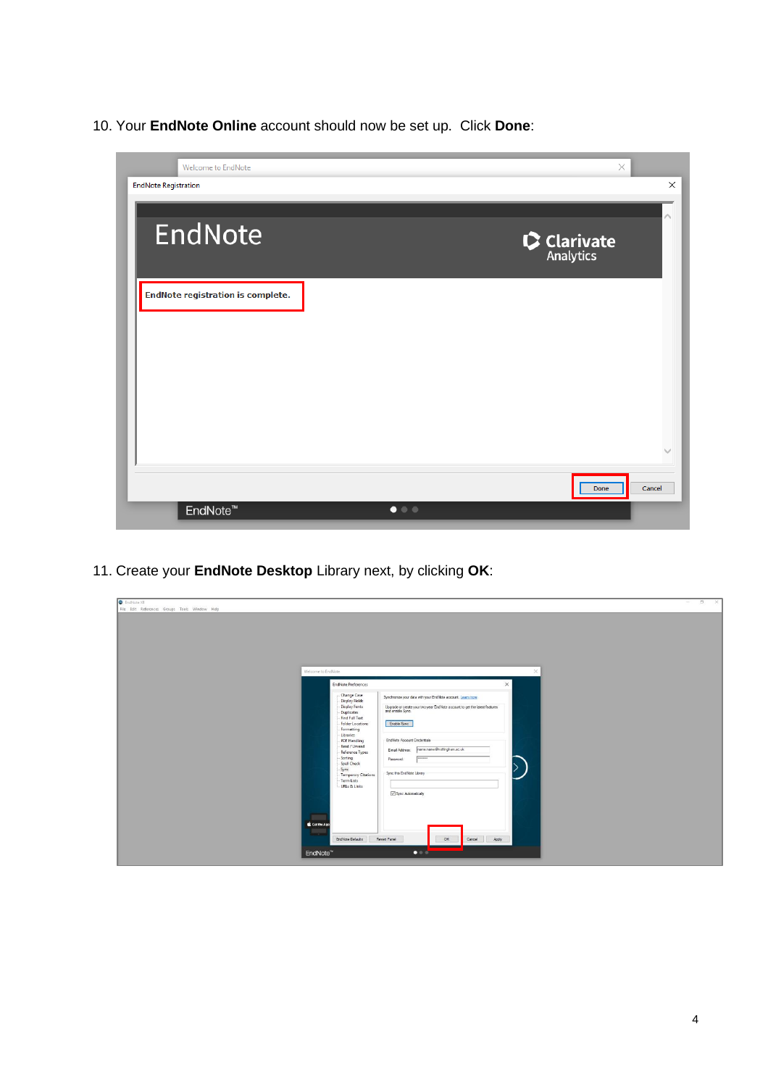10. Your **EndNote Online** account should now be set up. Click **Done**:



11. Create your **EndNote Desktop** Library next, by clicking **OK**:

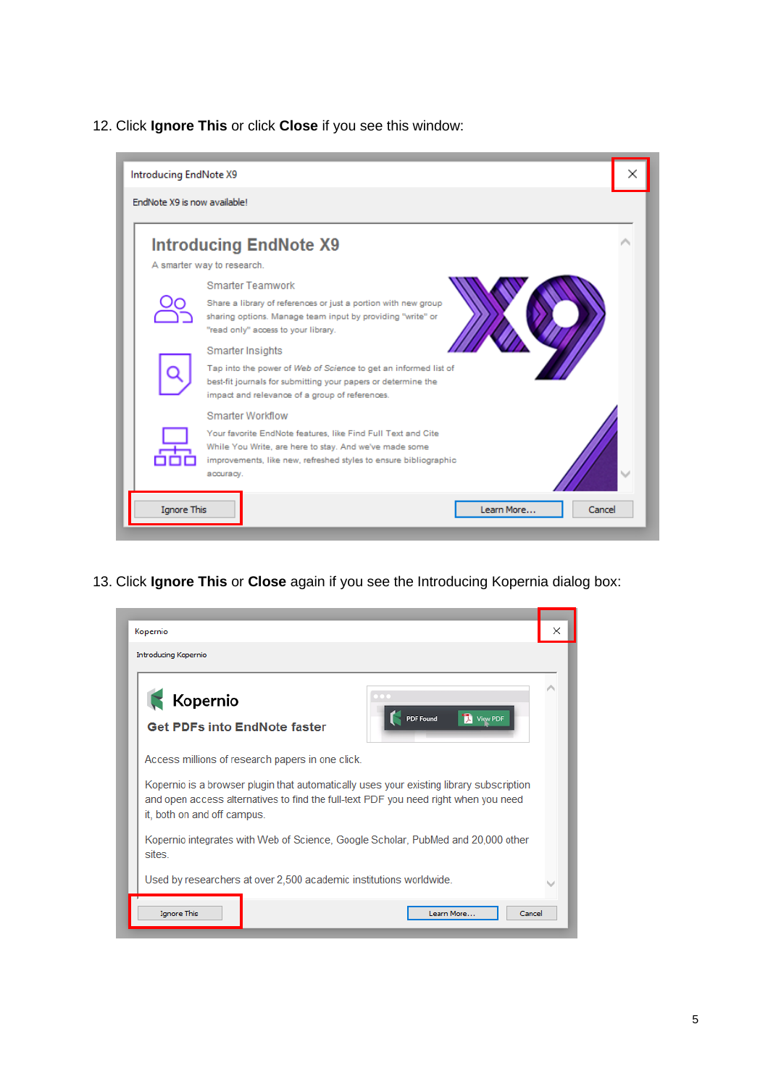12. Click **Ignore This** or click **Close** if you see this window:



13. Click **Ignore This** or **Close** again if you see the Introducing Kopernia dialog box:

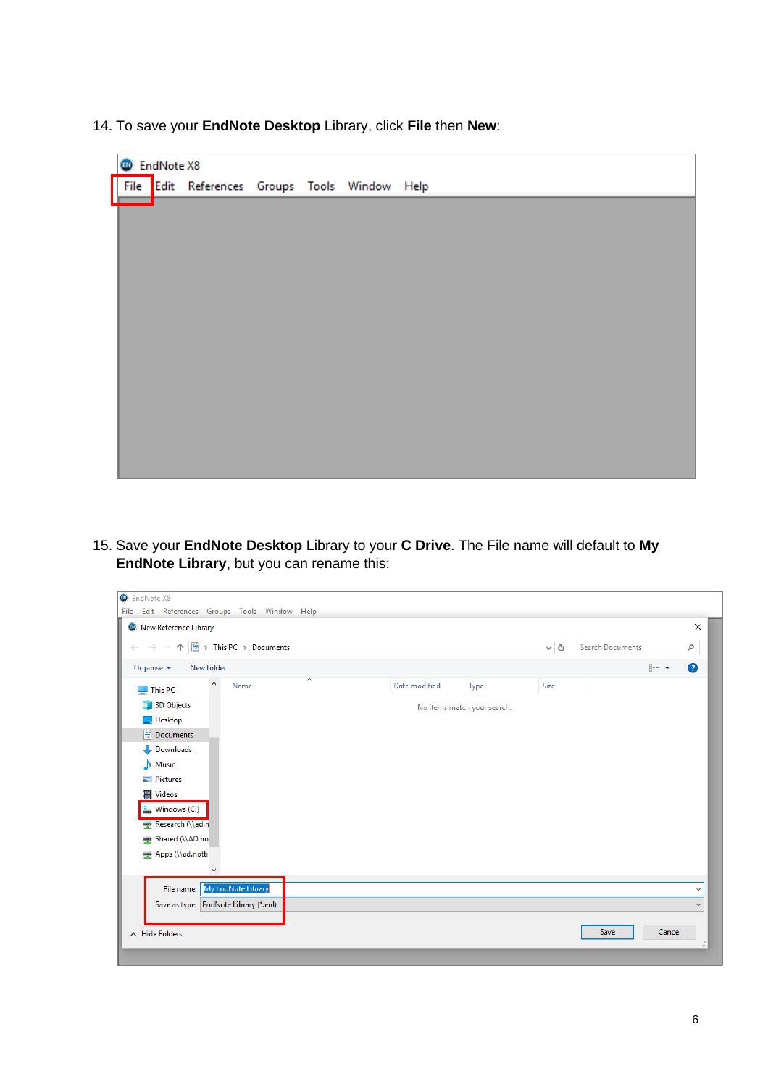14. To save your **EndNote Desktop** Library, click **File** then **New**:

| C EndNote X8 |  |                                               |  |  |  |  |
|--------------|--|-----------------------------------------------|--|--|--|--|
|              |  | File Edit References Groups Tools Window Help |  |  |  |  |
|              |  |                                               |  |  |  |  |
|              |  |                                               |  |  |  |  |
|              |  |                                               |  |  |  |  |
|              |  |                                               |  |  |  |  |
|              |  |                                               |  |  |  |  |
|              |  |                                               |  |  |  |  |
|              |  |                                               |  |  |  |  |
|              |  |                                               |  |  |  |  |
|              |  |                                               |  |  |  |  |
|              |  |                                               |  |  |  |  |
|              |  |                                               |  |  |  |  |
|              |  |                                               |  |  |  |  |
|              |  |                                               |  |  |  |  |

15. Save your **EndNote Desktop** Library to your **C Drive**. The File name will default to **My EndNote Library**, but you can rename this: